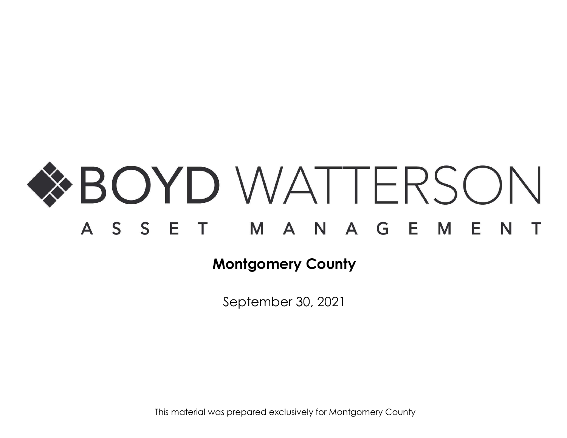

September 30, 2021

This material was prepared exclusively for Montgomery County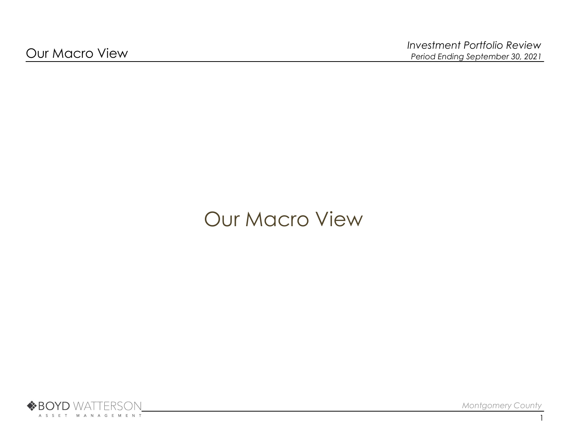# Our Macro View



Montgomery County

1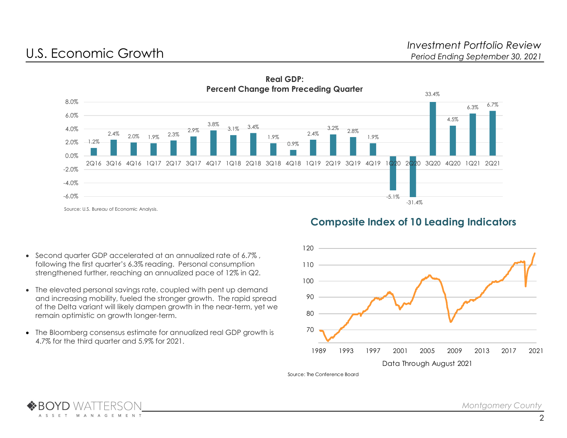



# Composite Index of 10 Leading Indicators

- Second quarter GDP accelerated at an annualized rate of 6.7% , following the first quarter's 6.3% reading. Personal consumption strengthened further, reaching an annualized pace of 12% in Q2.
- The elevated personal savings rate, coupled with pent up demand and increasing mobility, fueled the stronger growth. The rapid spread of the Delta variant will likely dampen growth in the near-term, yet we remain optimistic on growth longer-term.
- The Bloomberg consensus estimate for annualized real GDP growth is 4.7% for the third quarter and 5.9% for 2021.



Source: The Conference Board

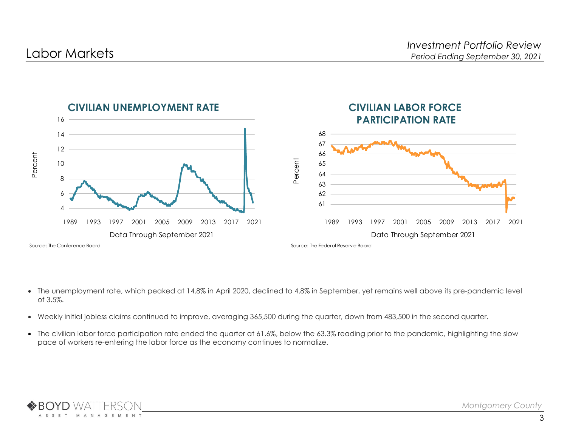

- The unemployment rate, which peaked at 14.8% in April 2020, declined to 4.8% in September, yet remains well above its pre-pandemic level of 3.5%.
- Weekly initial jobless claims continued to improve, averaging 365,500 during the quarter, down from 483,500 in the second quarter.
- The civilian labor force participation rate ended the quarter at 61.6%, below the 63.3% reading prior to the pandemic, highlighting the slow pace of workers re-entering the labor force as the economy continues to normalize.

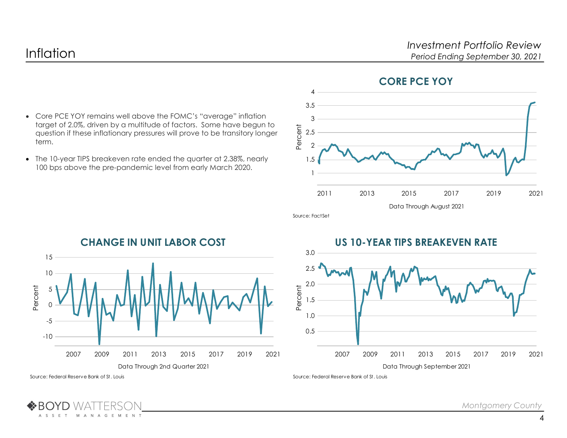

## CORE PCE YOY

- Core PCE YOY remains well above the FOMC's "average" inflation target of 2.0%, driven by a multitude of factors. Some have begun to question if these inflationary pressures will prove to be transitory longer term.
- The 10-year TIPS breakeven rate ended the quarter at 2.38%, nearly 100 bps above the pre-pandemic level from early March 2020.





CHANGE IN UNIT LABOR COST

# US 10-YEAR TIPS BREAKEVEN RATE



Source: Federal Reserve Bank of St. Louis

**M** 

A N A G E M E N T

A S S E T

Source: Federal Reserve Bank of St. Louis

Montgomery County

4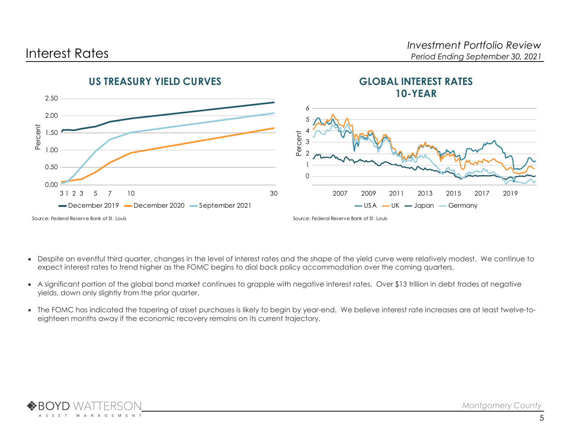

- Despite an eventful third quarter, changes in the level of interest rates and the shape of the yield curve were relatively modest. We continue to expect interest rates to trend higher as the FOMC begins to dial back policy accommodation over the coming quarters.
- A significant portion of the global bond market continues to grapple with negative interest rates. Over \$13 trillion in debt trades at negative yields, down only slightly from the prior quarter.
- The FOMC has indicated the tapering of asset purchases is likely to begin by year-end. We believe interest rate increases are at least twelve-toeighteen months away if the economic recovery remains on its current trajectory.

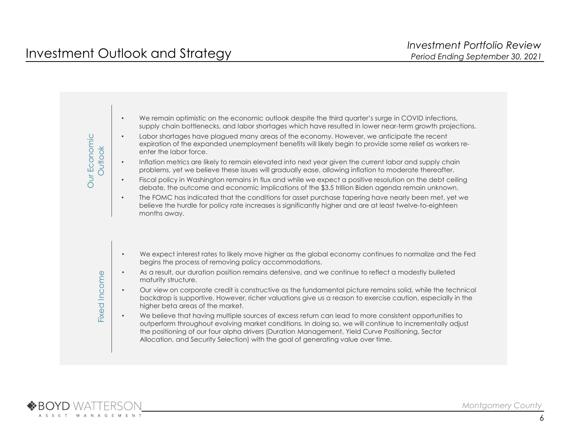

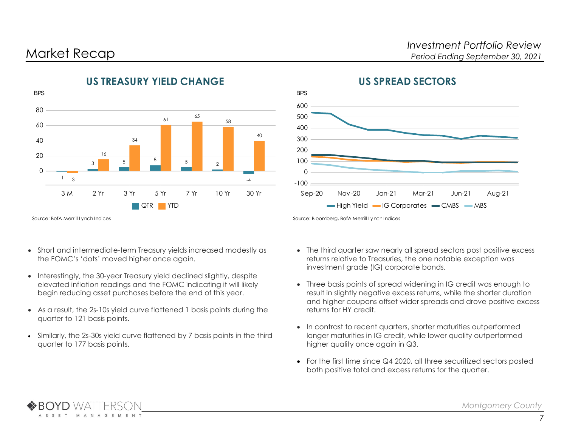

# US TREASURY YIELD CHANGE



Source: BofA Merrill Lynch Indices

- Short and intermediate-term Treasury yields increased modestly as the FOMC's 'dots' moved higher once again.
- Interestingly, the 30-year Treasury yield declined slightly, despite elevated inflation readings and the FOMC indicating it will likely begin reducing asset purchases before the end of this year.
- As a result, the 2s-10s yield curve flattened 1 basis points during the quarter to 121 basis points.
- Similarly, the 2s-30s yield curve flattened by 7 basis points in the third quarter to 177 basis points.

- The third quarter saw nearly all spread sectors post positive excess returns relative to Treasuries, the one notable exception was investment grade (IG) corporate bonds.
- Three basis points of spread widening in IG credit was enough to result in slightly negative excess returns, while the shorter duration and higher coupons offset wider spreads and drove positive excess returns for HY credit.
- In contrast to recent quarters, shorter maturities outperformed longer maturities in IG credit, while lower quality outperformed higher quality once again in Q3.
- For the first time since Q4 2020, all three securitized sectors posted both positive total and excess returns for the quarter.

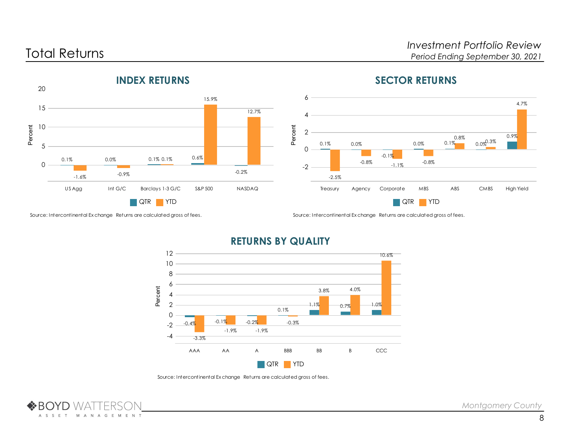

# SECTOR RETURNS





RETURNS BY QUALITY

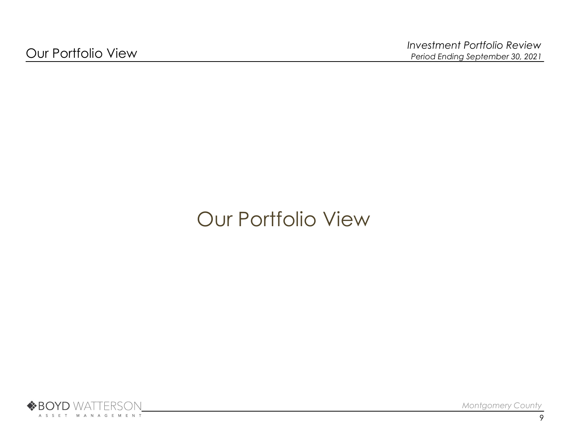# Our Portfolio View

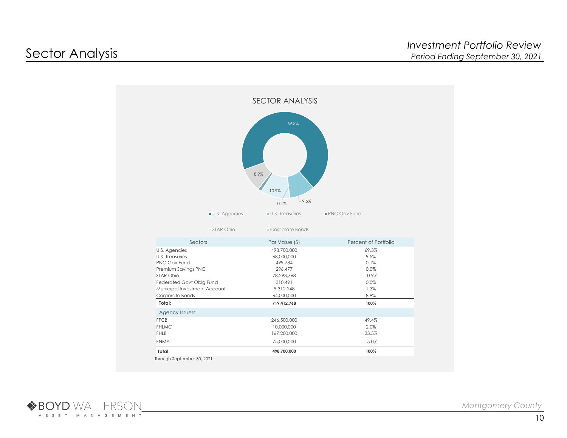

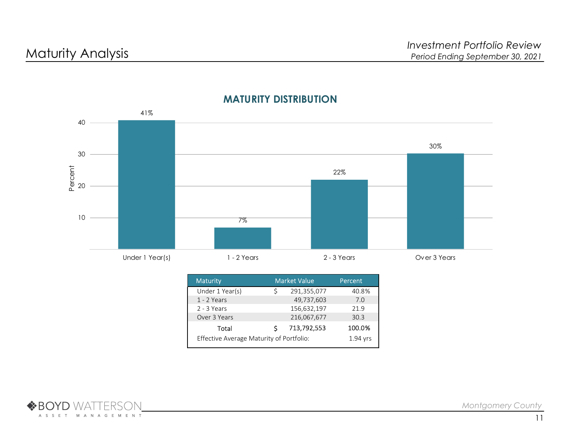

# MATURITY DISTRIBUTION

| <b>Maturity</b>                                      |   | <b>Market Value</b> | Percent |  |  |
|------------------------------------------------------|---|---------------------|---------|--|--|
| Under 1 Year(s)                                      | S | 291,355,077         | 40.8%   |  |  |
| 1 - 2 Years                                          |   | 49,737,603          | 7.0     |  |  |
| 2 - 3 Years                                          |   | 156,632,197         | 21.9    |  |  |
| Over 3 Years                                         |   | 216,067,677         | 30.3    |  |  |
| Total                                                | S | 713,792,553         | 100.0%  |  |  |
| Effective Average Maturity of Portfolio:<br>1.94 vrs |   |                     |         |  |  |

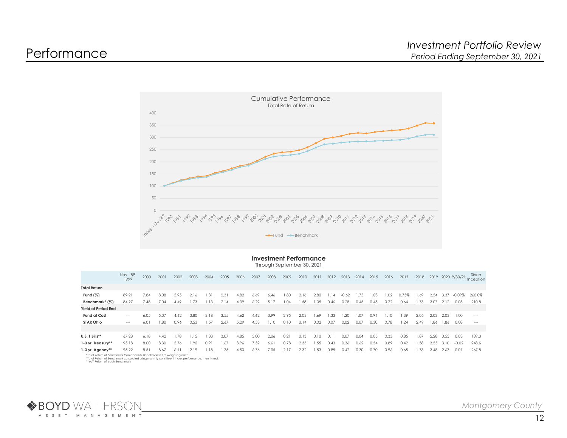

## Investment Performance

Through September 30, 2021

|                                                                         | Nov. '89-<br>1999 | 2000 | 2001 | 2002  | 2003 | 2004  |      |      | 2005 2006 2007 2008 2009 |      |      | 2010 2011 2012 2013 2014 2015 |      |      |             |      |       | 2016 | 2017  |      |           |                |        | Since<br>2018 2019 2020 9/30/21 Inception |
|-------------------------------------------------------------------------|-------------------|------|------|-------|------|-------|------|------|--------------------------|------|------|-------------------------------|------|------|-------------|------|-------|------|-------|------|-----------|----------------|--------|-------------------------------------------|
| <b>Total Return</b>                                                     |                   |      |      |       |      |       |      |      |                          |      |      |                               |      |      |             |      |       |      |       |      |           |                |        |                                           |
| Fund $(\%)$                                                             | 89.21             | 7.84 | 8.08 | 5.95  | 2.16 | 1.31  | 2.31 | 4.82 | 6.69                     | 6.46 | 1.80 | 2.16                          | 2.80 | 1.14 | -0.62       | 1.75 | 1.03  | 1.02 | 0.73% | 1.69 | 3.54      | - 3.37         |        | $-0.09\%$ 260.0%                          |
| Benchmark* (%)                                                          | 84.27             | 7.48 | 7.04 | 4.49  | 1.73 | 1.13  | 2.14 | 4.39 | 6.29                     | 5.17 | 1.04 | 1.58                          | 1.05 | 0.46 | 0.28        | 0.45 | 0.43  | 0.72 | 0.64  | 1.73 |           | 3.07 2.12 0.03 |        | 210.8                                     |
| Yield at Period End                                                     |                   |      |      |       |      |       |      |      |                          |      |      |                               |      |      |             |      |       |      |       |      |           |                |        |                                           |
| <b>Fund at Cost</b>                                                     | $- - -$           | 6.05 | 5.07 | 4.62  | 3.80 | -3.18 | 3.55 | 4.62 | 4.62                     | 3.99 | 2.95 | 2.03                          | .69  | .33  | - 20        |      | I).Y4 | I.IO | .39   | 2.05 | 2.03      | 2.03           | - 1.00 | $- - -$                                   |
| <b>STAR Ohio</b>                                                        | $-\!-\!$          | 6.01 | 1.80 | 0.96  | 0.53 | 1.57  | 2.67 | 5.29 | 4.53                     | 1.10 | 0.10 | 0.14                          | 0.02 | 0.07 | 0.02        | 0.07 | 0.30  | 0.78 | 1.24  | 2.49 |           | 1.86 1.86 0.08 |        | $\sim$ $\sim$                             |
|                                                                         |                   |      |      |       |      |       |      |      |                          |      |      |                               |      |      |             |      |       |      |       |      |           |                |        |                                           |
| U.S. T Bills**                                                          | 67.28             | 6.18 | 4.42 | 1.78  | 1.15 | 1.33  | 3.07 | 4.85 | 5.00                     | 2.06 | 0.21 | 0.13                          | 0.10 | 0.11 | 0.07        | 0.04 | 0.05  | 0.33 | 0.85  | 1.87 | 2.28      | 0.55           | 0.03   | 139.3                                     |
| 1-3 yr. Treasury**                                                      | 93.18             | 8.00 | 8.30 | -5.76 | 1.90 | 0.91  | 1.67 | 3.96 | 7.32                     | 6.61 | 0.78 | 2.35                          | 1.55 | 0.43 | 0.36        | 0.62 | 0.54  | 0.89 | 0.42  | 1.58 | 3.55 3.10 |                | -0.02  | 248.6                                     |
| $1-3$ yr. Agency**                                                      | 95.22             | 8.51 | 8.67 | 6.11  | 2.19 | 1.18  | 1.75 | 4.50 | 6.76                     | 7.05 | 2.17 | 2.32                          | 1.53 | 0.85 | $0.42$ 0.70 |      | 0.70  | 0.96 | 0.65  | 1.78 |           | 3.48 2.67      | 0.07   | 267.8                                     |
| *Total Return of Benchmark Components. Benchmark is 1/3 weighting each. |                   |      |      |       |      |       |      |      |                          |      |      |                               |      |      |             |      |       |      |       |      |           |                |        |                                           |

\*Total Return of Benchmark Components. Benchmark is 1/3 weighting each.<br>\*Total Return of Benchmark calculated using monthly constituent index performance, then linked.<br>\*\*YoY Return of each Benchmark

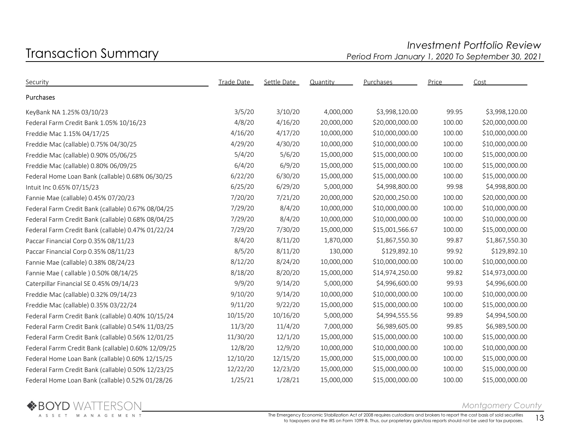# Investment Portfolio Review<br>Period From January 1, 2020 To September 30, 2021 Period From January 1, 2020 To September 30, 2021

| Security                                            | <b>Trade Date</b> | Settle Date | Quantity   | Purchases       | Price  | Cost            |
|-----------------------------------------------------|-------------------|-------------|------------|-----------------|--------|-----------------|
| Purchases                                           |                   |             |            |                 |        |                 |
| KeyBank NA 1.25% 03/10/23                           | 3/5/20            | 3/10/20     | 4,000,000  | \$3,998,120.00  | 99.95  | \$3,998,120.00  |
| Federal Farm Credit Bank 1.05% 10/16/23             | 4/8/20            | 4/16/20     | 20,000,000 | \$20,000,000.00 | 100.00 | \$20,000,000.00 |
| Freddie Mac 1.15% 04/17/25                          | 4/16/20           | 4/17/20     | 10,000,000 | \$10,000,000.00 | 100.00 | \$10,000,000.00 |
| Freddie Mac (callable) 0.75% 04/30/25               | 4/29/20           | 4/30/20     | 10,000,000 | \$10,000,000.00 | 100.00 | \$10,000,000.00 |
| Freddie Mac (callable) 0.90% 05/06/25               | 5/4/20            | 5/6/20      | 15,000,000 | \$15,000,000.00 | 100.00 | \$15,000,000.00 |
| Freddie Mac (callable) 0.80% 06/09/25               | 6/4/20            | 6/9/20      | 15,000,000 | \$15,000,000.00 | 100.00 | \$15,000,000.00 |
| Federal Home Loan Bank (callable) 0.68% 06/30/25    | 6/22/20           | 6/30/20     | 15,000,000 | \$15,000,000.00 | 100.00 | \$15,000,000.00 |
| Intuit Inc 0.65% 07/15/23                           | 6/25/20           | 6/29/20     | 5,000,000  | \$4,998,800.00  | 99.98  | \$4,998,800.00  |
| Fannie Mae (callable) 0.45% 07/20/23                | 7/20/20           | 7/21/20     | 20,000,000 | \$20,000,250.00 | 100.00 | \$20,000,000.00 |
| Federal Farm Credit Bank (callable) 0.67% 08/04/25  | 7/29/20           | 8/4/20      | 10,000,000 | \$10,000,000.00 | 100.00 | \$10,000,000.00 |
| Federal Farm Credit Bank (callable) 0.68% 08/04/25  | 7/29/20           | 8/4/20      | 10,000,000 | \$10,000,000.00 | 100.00 | \$10,000,000.00 |
| Federal Farm Credit Bank (callable) 0.47% 01/22/24  | 7/29/20           | 7/30/20     | 15,000,000 | \$15,001,566.67 | 100.00 | \$15,000,000.00 |
| Paccar Financial Corp 0.35% 08/11/23                | 8/4/20            | 8/11/20     | 1,870,000  | \$1,867,550.30  | 99.87  | \$1,867,550.30  |
| Paccar Financial Corp 0.35% 08/11/23                | 8/5/20            | 8/11/20     | 130,000    | \$129,892.10    | 99.92  | \$129,892.10    |
| Fannie Mae (callable) 0.38% 08/24/23                | 8/12/20           | 8/24/20     | 10,000,000 | \$10,000,000.00 | 100.00 | \$10,000,000.00 |
| Fannie Mae ( callable ) 0.50% 08/14/25              | 8/18/20           | 8/20/20     | 15,000,000 | \$14,974,250.00 | 99.82  | \$14,973,000.00 |
| Caterpillar Financial SE 0.45% 09/14/23             | 9/9/20            | 9/14/20     | 5,000,000  | \$4,996,600.00  | 99.93  | \$4,996,600.00  |
| Freddie Mac (callable) 0.32% 09/14/23               | 9/10/20           | 9/14/20     | 10,000,000 | \$10,000,000.00 | 100.00 | \$10,000,000.00 |
| Freddie Mac (callable) 0.35% 03/22/24               | 9/11/20           | 9/22/20     | 15,000,000 | \$15,000,000.00 | 100.00 | \$15,000,000.00 |
| Federal Farm Credit Bank (callable) 0.40% 10/15/24  | 10/15/20          | 10/16/20    | 5,000,000  | \$4,994,555.56  | 99.89  | \$4,994,500.00  |
| Federal Farm Credit Bank (callable) 0.54% 11/03/25  | 11/3/20           | 11/4/20     | 7,000,000  | \$6,989,605.00  | 99.85  | \$6,989,500.00  |
| Federal Farm Credit Bank (callable) 0.56% 12/01/25  | 11/30/20          | 12/1/20     | 15,000,000 | \$15,000,000.00 | 100.00 | \$15,000,000.00 |
| Federal Farrm Credit Bank (callable) 0.60% 12/09/25 | 12/8/20           | 12/9/20     | 10,000,000 | \$10,000,000.00 | 100.00 | \$10,000,000.00 |
| Federal Home Loan Bank (callable) 0.60% 12/15/25    | 12/10/20          | 12/15/20    | 15,000,000 | \$15,000,000.00 | 100.00 | \$15,000,000.00 |
| Federal Farm Credit Bank (callable) 0.50% 12/23/25  | 12/22/20          | 12/23/20    | 15,000,000 | \$15,000,000.00 | 100.00 | \$15,000,000.00 |
| Federal Home Loan Bank (callable) 0.52% 01/28/26    | 1/25/21           | 1/28/21     | 15,000,000 | \$15,000,000.00 | 100.00 | \$15,000,000.00 |



## Montgomery County

The Emergency Economic Stabilization Act of 2008 requires custodians and brokers to report the cost basis of sold securities ergency Economic Stabilization Act of 2008 requires custodians and brokers to report the cost basis of sold securities  $13$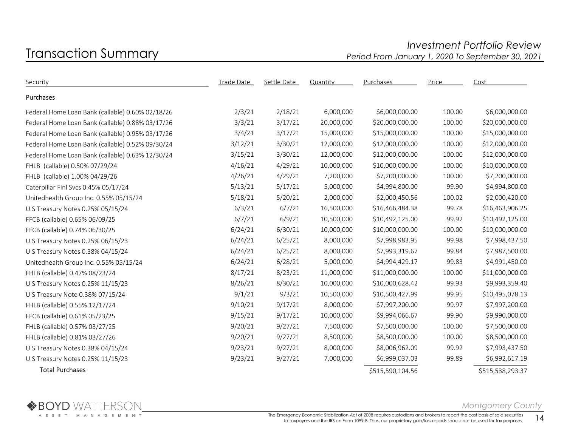# Investment Portfolio Review<br>Period From January 1, 2020 To September 30, 2021 Period From January 1, 2020 To September 30, 2021

| Security                                         | Trade Date | Settle Date | Quantity   | Purchases        | Price  | Cost             |
|--------------------------------------------------|------------|-------------|------------|------------------|--------|------------------|
| Purchases                                        |            |             |            |                  |        |                  |
| Federal Home Loan Bank (callable) 0.60% 02/18/26 | 2/3/21     | 2/18/21     | 6,000,000  | \$6,000,000.00   | 100.00 | \$6,000,000.00   |
| Federal Home Loan Bank (callable) 0.88% 03/17/26 | 3/3/21     | 3/17/21     | 20,000,000 | \$20,000,000.00  | 100.00 | \$20,000,000.00  |
| Federal Home Loan Bank (callable) 0.95% 03/17/26 | 3/4/21     | 3/17/21     | 15,000,000 | \$15,000,000.00  | 100.00 | \$15,000,000.00  |
| Federal Home Loan Bank (callable) 0.52% 09/30/24 | 3/12/21    | 3/30/21     | 12,000,000 | \$12,000,000.00  | 100.00 | \$12,000,000.00  |
| Federal Home Loan Bank (callable) 0.63% 12/30/24 | 3/15/21    | 3/30/21     | 12,000,000 | \$12,000,000.00  | 100.00 | \$12,000,000.00  |
| FHLB (callable) 0.50% 07/29/24                   | 4/16/21    | 4/29/21     | 10,000,000 | \$10,000,000.00  | 100.00 | \$10,000,000.00  |
| FHLB (callable) 1.00% 04/29/26                   | 4/26/21    | 4/29/21     | 7,200,000  | \$7,200,000.00   | 100.00 | \$7,200,000.00   |
| Caterpillar Finl Svcs 0.45% 05/17/24             | 5/13/21    | 5/17/21     | 5,000,000  | \$4,994,800.00   | 99.90  | \$4,994,800.00   |
| Unitedhealth Group Inc. 0.55% 05/15/24           | 5/18/21    | 5/20/21     | 2,000,000  | \$2,000,450.56   | 100.02 | \$2,000,420.00   |
| U S Treasury Notes 0.25% 05/15/24                | 6/3/21     | 6/7/21      | 16,500,000 | \$16,466,484.38  | 99.78  | \$16,463,906.25  |
| FFCB (callable) 0.65% 06/09/25                   | 6/7/21     | 6/9/21      | 10,500,000 | \$10,492,125.00  | 99.92  | \$10,492,125.00  |
| FFCB (callable) 0.74% 06/30/25                   | 6/24/21    | 6/30/21     | 10,000,000 | \$10,000,000.00  | 100.00 | \$10,000,000.00  |
| U S Treasury Notes 0.25% 06/15/23                | 6/24/21    | 6/25/21     | 8,000,000  | \$7,998,983.95   | 99.98  | \$7,998,437.50   |
| U S Treasury Notes 0.38% 04/15/24                | 6/24/21    | 6/25/21     | 8,000,000  | \$7,993,319.67   | 99.84  | \$7,987,500.00   |
| Unitedhealth Group Inc. 0.55% 05/15/24           | 6/24/21    | 6/28/21     | 5,000,000  | \$4,994,429.17   | 99.83  | \$4,991,450.00   |
| FHLB (callable) 0.47% 08/23/24                   | 8/17/21    | 8/23/21     | 11,000,000 | \$11,000,000.00  | 100.00 | \$11,000,000.00  |
| U S Treasury Notes 0.25% 11/15/23                | 8/26/21    | 8/30/21     | 10,000,000 | \$10,000,628.42  | 99.93  | \$9,993,359.40   |
| U S Treasury Note 0.38% 07/15/24                 | 9/1/21     | 9/3/21      | 10,500,000 | \$10,500,427.99  | 99.95  | \$10,495,078.13  |
| FHLB (callable) 0.55% 12/17/24                   | 9/10/21    | 9/17/21     | 8,000,000  | \$7,997,200.00   | 99.97  | \$7,997,200.00   |
| FFCB (callable) 0.61% 05/23/25                   | 9/15/21    | 9/17/21     | 10,000,000 | \$9,994,066.67   | 99.90  | \$9,990,000.00   |
| FHLB (callable) 0.57% 03/27/25                   | 9/20/21    | 9/27/21     | 7,500,000  | \$7,500,000.00   | 100.00 | \$7,500,000.00   |
| FHLB (callable) 0.81% 03/27/26                   | 9/20/21    | 9/27/21     | 8,500,000  | \$8,500,000.00   | 100.00 | \$8,500,000.00   |
| U S Treasury Notes 0.38% 04/15/24                | 9/23/21    | 9/27/21     | 8,000,000  | \$8,006,962.09   | 99.92  | \$7,993,437.50   |
| U S Treasury Notes 0.25% 11/15/23                | 9/23/21    | 9/27/21     | 7,000,000  | \$6,999,037.03   | 99.89  | \$6,992,617.19   |
| <b>Total Purchases</b>                           |            |             |            | \$515,590,104.56 |        | \$515,538,293.37 |

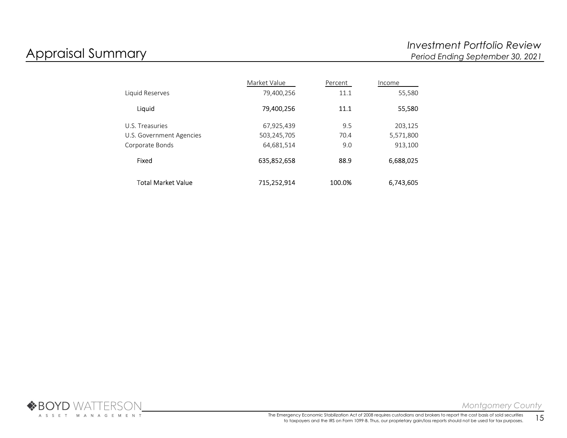|                          | Market Value | Percent | Income    |
|--------------------------|--------------|---------|-----------|
| Liquid Reserves          | 79,400,256   | 11.1    | 55,580    |
| Liquid                   | 79,400,256   | 11.1    | 55,580    |
| U.S. Treasuries          | 67,925,439   | 9.5     | 203,125   |
| U.S. Government Agencies | 503,245,705  | 70.4    | 5,571,800 |
| Corporate Bonds          | 64,681,514   | 9.0     | 913,100   |
| Fixed                    | 635,852,658  | 88.9    | 6,688,025 |
| Total Market Value       | 715,252,914  | 100.0%  | 6,743,605 |

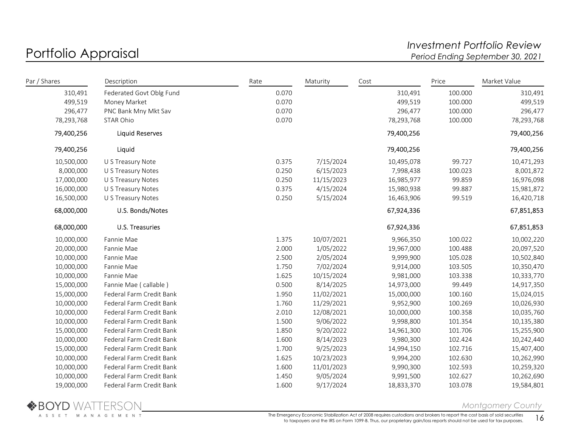# Portfolio Appraisal and the controller of the controller term of the controller of the Portfolio Review and the<br>Investment Portfolio Review Period Ending September 30, 2021 Period Ending September 30, 2021

| Par / Shares | Description              | Rate  | Maturity   | Cost       | Price   | Market Value |
|--------------|--------------------------|-------|------------|------------|---------|--------------|
| 310,491      | Federated Govt Oblg Fund | 0.070 |            | 310,491    | 100.000 | 310,491      |
| 499,519      | Money Market             | 0.070 |            | 499,519    | 100.000 | 499,519      |
| 296,477      | PNC Bank Mny Mkt Sav     | 0.070 |            | 296,477    | 100.000 | 296,477      |
| 78,293,768   | STAR Ohio                | 0.070 |            | 78,293,768 | 100.000 | 78,293,768   |
| 79,400,256   | <b>Liquid Reserves</b>   |       |            | 79,400,256 |         | 79,400,256   |
| 79,400,256   | Liquid                   |       |            | 79,400,256 |         | 79,400,256   |
| 10,500,000   | U S Treasury Note        | 0.375 | 7/15/2024  | 10,495,078 | 99.727  | 10,471,293   |
| 8,000,000    | U S Treasury Notes       | 0.250 | 6/15/2023  | 7,998,438  | 100.023 | 8,001,872    |
| 17,000,000   | U S Treasury Notes       | 0.250 | 11/15/2023 | 16,985,977 | 99.859  | 16,976,098   |
| 16,000,000   | U S Treasury Notes       | 0.375 | 4/15/2024  | 15,980,938 | 99.887  | 15,981,872   |
| 16,500,000   | U S Treasury Notes       | 0.250 | 5/15/2024  | 16,463,906 | 99.519  | 16,420,718   |
| 68,000,000   | U.S. Bonds/Notes         |       |            | 67,924,336 |         | 67,851,853   |
| 68,000,000   | U.S. Treasuries          |       |            | 67,924,336 |         | 67,851,853   |
| 10,000,000   | Fannie Mae               | 1.375 | 10/07/2021 | 9,966,350  | 100.022 | 10,002,220   |
| 20,000,000   | Fannie Mae               | 2.000 | 1/05/2022  | 19,967,000 | 100.488 | 20,097,520   |
| 10,000,000   | Fannie Mae               | 2.500 | 2/05/2024  | 9,999,900  | 105.028 | 10,502,840   |
| 10,000,000   | Fannie Mae               | 1.750 | 7/02/2024  | 9,914,000  | 103.505 | 10,350,470   |
| 10,000,000   | Fannie Mae               | 1.625 | 10/15/2024 | 9,981,000  | 103.338 | 10,333,770   |
| 15,000,000   | Fannie Mae (callable)    | 0.500 | 8/14/2025  | 14,973,000 | 99.449  | 14,917,350   |
| 15,000,000   | Federal Farm Credit Bank | 1.950 | 11/02/2021 | 15,000,000 | 100.160 | 15,024,015   |
| 10,000,000   | Federal Farm Credit Bank | 1.760 | 11/29/2021 | 9,952,900  | 100.269 | 10,026,930   |
| 10,000,000   | Federal Farm Credit Bank | 2.010 | 12/08/2021 | 10,000,000 | 100.358 | 10,035,760   |
| 10,000,000   | Federal Farm Credit Bank | 1.500 | 9/06/2022  | 9,998,800  | 101.354 | 10,135,380   |
| 15,000,000   | Federal Farm Credit Bank | 1.850 | 9/20/2022  | 14,961,300 | 101.706 | 15,255,900   |
| 10,000,000   | Federal Farm Credit Bank | 1.600 | 8/14/2023  | 9,980,300  | 102.424 | 10,242,440   |
| 15,000,000   | Federal Farm Credit Bank | 1.700 | 9/25/2023  | 14,994,150 | 102.716 | 15,407,400   |
| 10,000,000   | Federal Farm Credit Bank | 1.625 | 10/23/2023 | 9,994,200  | 102.630 | 10,262,990   |
| 10,000,000   | Federal Farm Credit Bank | 1.600 | 11/01/2023 | 9,990,300  | 102.593 | 10,259,320   |
| 10,000,000   | Federal Farm Credit Bank | 1.450 | 9/05/2024  | 9,991,500  | 102.627 | 10,262,690   |
| 19,000,000   | Federal Farm Credit Bank | 1.600 | 9/17/2024  | 18,833,370 | 103.078 | 19,584,801   |



Montgomery County

The Emergency Economic Stabilization Act of 2008 requires custodians and brokers to report the cost basis of sold securities to taxpayers and the IRS on Form 1099-B. Thus, our proprietary gain/loss reports should not be used for tax purposes.  $16$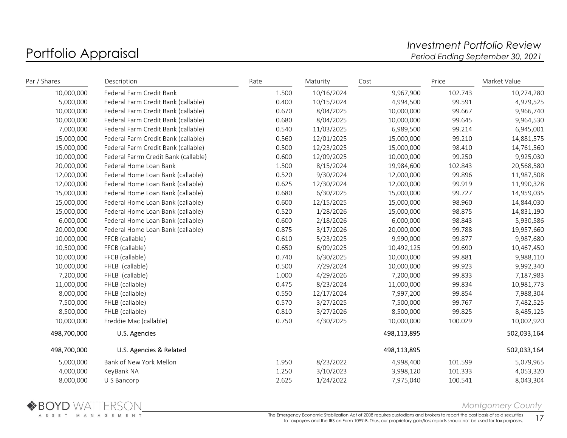# Portfolio Appraisal and the controller of the controller term of the controller of the Portfolio Review and the<br>Investment Portfolio Review Period Ending September 30, 2021 Period Ending September 30, 2021

| Par / Shares | Description                          | Rate  | Maturity   | Cost        | Price   | Market Value |
|--------------|--------------------------------------|-------|------------|-------------|---------|--------------|
| 10,000,000   | Federal Farm Credit Bank             | 1.500 | 10/16/2024 | 9,967,900   | 102.743 | 10,274,280   |
| 5,000,000    | Federal Farm Credit Bank (callable)  | 0.400 | 10/15/2024 | 4,994,500   | 99.591  | 4,979,525    |
| 10,000,000   | Federal Farm Credit Bank (callable)  | 0.670 | 8/04/2025  | 10,000,000  | 99.667  | 9,966,740    |
| 10,000,000   | Federal Farm Credit Bank (callable)  | 0.680 | 8/04/2025  | 10,000,000  | 99.645  | 9,964,530    |
| 7,000,000    | Federal Farm Credit Bank (callable)  | 0.540 | 11/03/2025 | 6,989,500   | 99.214  | 6,945,001    |
| 15,000,000   | Federal Farm Credit Bank (callable)  | 0.560 | 12/01/2025 | 15,000,000  | 99.210  | 14,881,575   |
| 15,000,000   | Federal Farm Credit Bank (callable)  | 0.500 | 12/23/2025 | 15,000,000  | 98.410  | 14,761,560   |
| 10,000,000   | Federal Farrm Credit Bank (callable) | 0.600 | 12/09/2025 | 10,000,000  | 99.250  | 9,925,030    |
| 20,000,000   | Federal Home Loan Bank               | 1.500 | 8/15/2024  | 19,984,600  | 102.843 | 20,568,580   |
| 12,000,000   | Federal Home Loan Bank (callable)    | 0.520 | 9/30/2024  | 12,000,000  | 99.896  | 11,987,508   |
| 12,000,000   | Federal Home Loan Bank (callable)    | 0.625 | 12/30/2024 | 12,000,000  | 99.919  | 11,990,328   |
| 15,000,000   | Federal Home Loan Bank (callable)    | 0.680 | 6/30/2025  | 15,000,000  | 99.727  | 14,959,035   |
| 15,000,000   | Federal Home Loan Bank (callable)    | 0.600 | 12/15/2025 | 15,000,000  | 98.960  | 14,844,030   |
| 15,000,000   | Federal Home Loan Bank (callable)    | 0.520 | 1/28/2026  | 15,000,000  | 98.875  | 14,831,190   |
| 6,000,000    | Federal Home Loan Bank (callable)    | 0.600 | 2/18/2026  | 6,000,000   | 98.843  | 5,930,586    |
| 20,000,000   | Federal Home Loan Bank (callable)    | 0.875 | 3/17/2026  | 20,000,000  | 99.788  | 19,957,660   |
| 10,000,000   | FFCB (callable)                      | 0.610 | 5/23/2025  | 9,990,000   | 99.877  | 9,987,680    |
| 10,500,000   | FFCB (callable)                      | 0.650 | 6/09/2025  | 10,492,125  | 99.690  | 10,467,450   |
| 10,000,000   | FFCB (callable)                      | 0.740 | 6/30/2025  | 10,000,000  | 99.881  | 9,988,110    |
| 10,000,000   | FHLB (callable)                      | 0.500 | 7/29/2024  | 10,000,000  | 99.923  | 9,992,340    |
| 7,200,000    | FHLB (callable)                      | 1.000 | 4/29/2026  | 7,200,000   | 99.833  | 7,187,983    |
| 11,000,000   | FHLB (callable)                      | 0.475 | 8/23/2024  | 11,000,000  | 99.834  | 10,981,773   |
| 8,000,000    | FHLB (callable)                      | 0.550 | 12/17/2024 | 7,997,200   | 99.854  | 7,988,304    |
| 7,500,000    | FHLB (callable)                      | 0.570 | 3/27/2025  | 7,500,000   | 99.767  | 7,482,525    |
| 8,500,000    | FHLB (callable)                      | 0.810 | 3/27/2026  | 8,500,000   | 99.825  | 8,485,125    |
| 10,000,000   | Freddie Mac (callable)               | 0.750 | 4/30/2025  | 10,000,000  | 100.029 | 10,002,920   |
| 498,700,000  | U.S. Agencies                        |       |            | 498,113,895 |         | 502,033,164  |
| 498,700,000  | U.S. Agencies & Related              |       |            | 498,113,895 |         | 502,033,164  |
| 5,000,000    | Bank of New York Mellon              | 1.950 | 8/23/2022  | 4,998,400   | 101.599 | 5,079,965    |
| 4,000,000    | KeyBank NA                           | 1.250 | 3/10/2023  | 3,998,120   | 101.333 | 4,053,320    |
| 8,000,000    | U S Bancorp                          | 2.625 | 1/24/2022  | 7,975,040   | 100.541 | 8,043,304    |



Montgomery County

The Emergency Economic Stabilization Act of 2008 requires custodians and brokers to report the cost basis of sold securities to taxpayers and the IRS on Form 1099-B. Thus, our proprietary gain/loss reports should not be used for tax purposes. 17<br>17 to taxpayers and the IRS on Form 1099-B. Thus, our proprietary gain/loss reports should not be us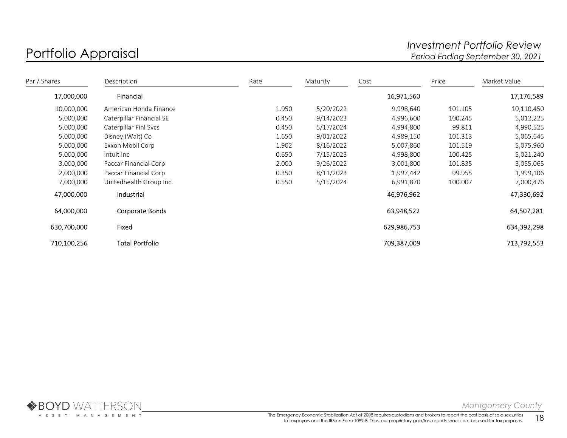# Portfolio Appraisal and the controller of the controller term of the controller of the Portfolio Review and the<br>Investment Portfolio Review Period Ending September 30, 2021 Period Ending September 30, 2021

| Par / Shares | Description              | Rate  | Maturity  | Cost        | Price   | Market Value |
|--------------|--------------------------|-------|-----------|-------------|---------|--------------|
| 17,000,000   | Financial                |       |           | 16,971,560  |         | 17,176,589   |
| 10,000,000   | American Honda Finance   | 1.950 | 5/20/2022 | 9,998,640   | 101.105 | 10,110,450   |
| 5,000,000    | Caterpillar Financial SE | 0.450 | 9/14/2023 | 4,996,600   | 100.245 | 5,012,225    |
| 5,000,000    | Caterpillar Finl Svcs    | 0.450 | 5/17/2024 | 4,994,800   | 99.811  | 4,990,525    |
| 5,000,000    | Disney (Walt) Co         | 1.650 | 9/01/2022 | 4,989,150   | 101.313 | 5,065,645    |
| 5,000,000    | Exxon Mobil Corp         | 1.902 | 8/16/2022 | 5,007,860   | 101.519 | 5,075,960    |
| 5,000,000    | Intuit Inc               | 0.650 | 7/15/2023 | 4,998,800   | 100.425 | 5,021,240    |
| 3,000,000    | Paccar Financial Corp    | 2.000 | 9/26/2022 | 3,001,800   | 101.835 | 3,055,065    |
| 2,000,000    | Paccar Financial Corp    | 0.350 | 8/11/2023 | 1,997,442   | 99.955  | 1,999,106    |
| 7,000,000    | Unitedhealth Group Inc.  | 0.550 | 5/15/2024 | 6,991,870   | 100.007 | 7,000,476    |
| 47,000,000   | Industrial               |       |           | 46,976,962  |         | 47,330,692   |
| 64,000,000   | Corporate Bonds          |       |           | 63,948,522  |         | 64,507,281   |
| 630,700,000  | Fixed                    |       |           | 629,986,753 |         | 634,392,298  |
| 710,100,256  | <b>Total Portfolio</b>   |       |           | 709,387,009 |         | 713,792,553  |